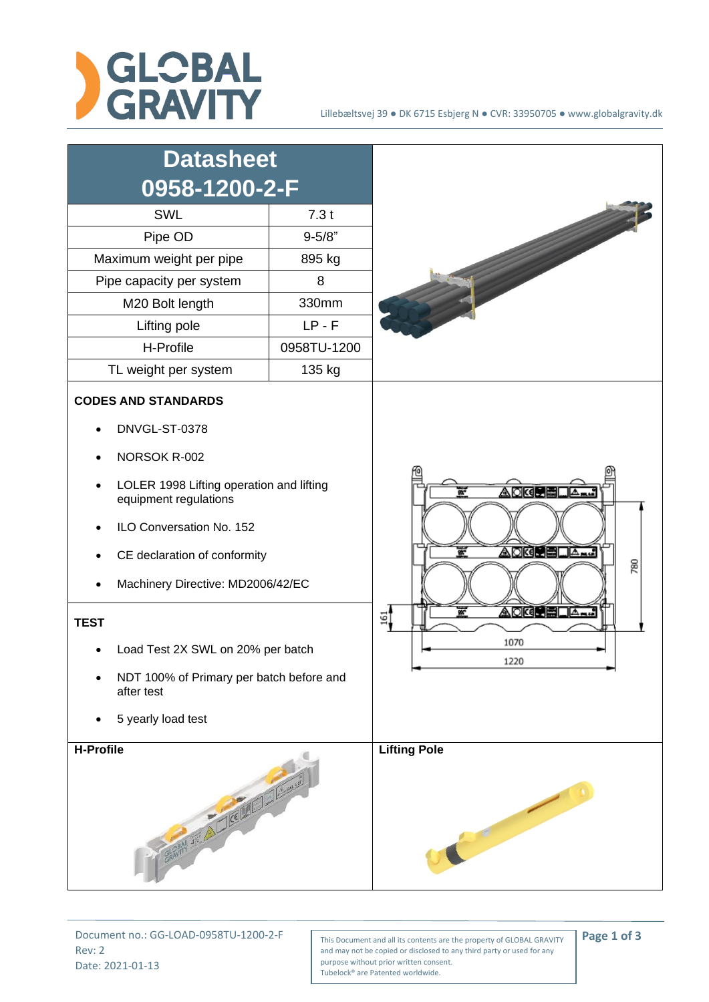



Rev: 2 Date: 2021-01-13

Document no.: GG-LOAD-0958TU-1200-2-F<br>
This Document and all its contents are the property of GLOBAL GRAVITY **Page 1 of 3** and may not be copied or disclosed to any third party or used for any purpose without prior written consent. Tubelock® are Patented worldwide.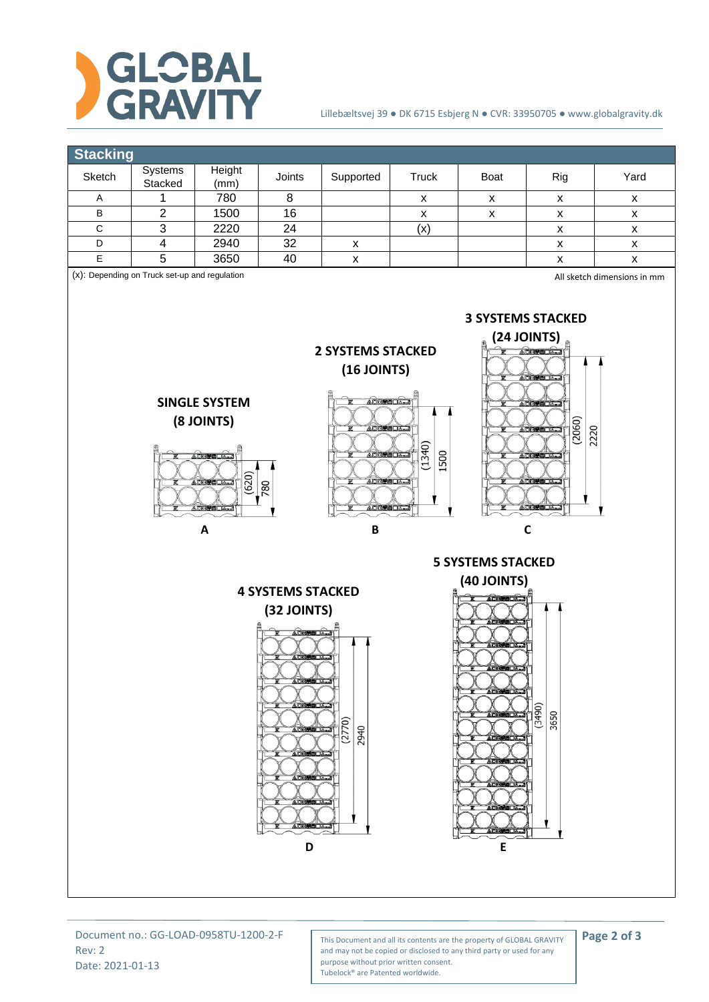

## Lillebæltsvej 39 ● DK 6715 Esbjerg N ● CVR: 33950705 ● www.globalgravity.dk

| <b>Stacking</b>                                                                                                                                                                                                                                                                                                                                                                                                                                                                                                      |                                  |              |                 |                                          |                    |                          |                                          |                                          |  |  |  |  |  |
|----------------------------------------------------------------------------------------------------------------------------------------------------------------------------------------------------------------------------------------------------------------------------------------------------------------------------------------------------------------------------------------------------------------------------------------------------------------------------------------------------------------------|----------------------------------|--------------|-----------------|------------------------------------------|--------------------|--------------------------|------------------------------------------|------------------------------------------|--|--|--|--|--|
| Sketch                                                                                                                                                                                                                                                                                                                                                                                                                                                                                                               | Systems                          | Height       | Joints          | Supported                                | <b>Truck</b>       | Boat                     | Rig                                      | Yard                                     |  |  |  |  |  |
|                                                                                                                                                                                                                                                                                                                                                                                                                                                                                                                      | Stacked                          | (mm)         |                 |                                          |                    |                          |                                          |                                          |  |  |  |  |  |
| Α                                                                                                                                                                                                                                                                                                                                                                                                                                                                                                                    | 1                                | 780          | 8               |                                          | $\pmb{\mathsf{x}}$ | $\pmb{\mathsf{X}}$       | $\pmb{\mathsf{X}}$                       | $\pmb{\mathsf{X}}$                       |  |  |  |  |  |
| $\sf B$<br>$\mathbf C$                                                                                                                                                                                                                                                                                                                                                                                                                                                                                               | $\overline{2}$<br>$\overline{3}$ | 1500         | $\overline{16}$ |                                          | $\pmb{\mathsf{X}}$ | $\pmb{\mathsf{x}}$       | $\pmb{\mathsf{X}}$                       | $\pmb{\mathsf{X}}$                       |  |  |  |  |  |
| D                                                                                                                                                                                                                                                                                                                                                                                                                                                                                                                    | $\overline{\mathbf{4}}$          | 2220<br>2940 | 24<br>32        |                                          | (x)                |                          | $\pmb{\mathsf{X}}$                       | $\pmb{\mathsf{x}}$                       |  |  |  |  |  |
| $\overline{E}$                                                                                                                                                                                                                                                                                                                                                                                                                                                                                                       | $\overline{5}$                   | 3650         | 40              | $\pmb{\mathsf{x}}$<br>$\pmb{\mathsf{x}}$ |                    |                          | $\pmb{\mathsf{x}}$<br>$\pmb{\mathsf{x}}$ | $\pmb{\mathsf{X}}$<br>$\pmb{\mathsf{x}}$ |  |  |  |  |  |
| (x): Depending on Truck set-up and regulation<br>All sketch dimensions in mm                                                                                                                                                                                                                                                                                                                                                                                                                                         |                                  |              |                 |                                          |                    |                          |                                          |                                          |  |  |  |  |  |
| <b>3 SYSTEMS STACKED</b><br>(24 JOINTS)<br><b>2 SYSTEMS STACKED</b><br><u> AQKIMEDA…]</u><br>$(16$ JOINTS)<br><b>ADKO BUA.</b><br>ACKUELA 1<br><b>SINGLE SYSTEM</b><br>A DK BELLA<br>(8 JOINTS)<br>(2060)<br>2220<br><b>ADREEDAM</b><br><b>ADKINEDATI</b><br>(1340)<br>1500<br><b>ACKINEDATI</b><br><b>ADREEDAT</b><br><b>ADGUEDA.J</b><br>(620)<br>○図書□△<br><b>ACK PEDA</b><br><b>ADRIVEDATI</b><br>780<br><b>OKIMBOA.J</b><br><b>AQK®PEQA…</b><br><b>DKIHELA.</b><br>$\pmb B$<br>$\mathbf c$<br>$\pmb{\mathsf{A}}$ |                                  |              |                 |                                          |                    |                          |                                          |                                          |  |  |  |  |  |
|                                                                                                                                                                                                                                                                                                                                                                                                                                                                                                                      |                                  |              |                 |                                          |                    | <b>5 SYSTEMS STACKED</b> |                                          |                                          |  |  |  |  |  |
|                                                                                                                                                                                                                                                                                                                                                                                                                                                                                                                      |                                  |              |                 |                                          |                    | <b>(40 JOINTS)</b>       |                                          |                                          |  |  |  |  |  |
| <b>4 SYSTEMS STACKED</b><br><b>OKIBELIAN</b><br>(32 JOINTS)<br>ACKUSILA 1<br><b>ADRESTANT</b><br><b>ADKOPELIA.J</b><br><b>ADRESOALS</b><br><b>ADKINEDA.</b><br><b>ADKORELA.J</b><br>(3490)<br>3650<br><b>A<i>DK</i>@@@</b> ⊡@__<br>(2770)<br>2940<br>AOKU BOA.<br><b>ADKORELIA</b><br><b>ADRESOLA</b><br><b>OKINELLA</b><br><b>ACKCELLA.3</b><br><b>ADK BELLANA</b><br><b>ADRESSIGN</b><br>ADKOVELIA.<br><b>ACK HELA.3</b><br><b>AKABELIA.</b><br>D<br>E                                                             |                                  |              |                 |                                          |                    |                          |                                          |                                          |  |  |  |  |  |

Rev: 2 Date: 2021-01-13

Document no.: GG-LOAD-0958TU-1200-2-F<br>
This Document and all its contents are the property of GLOBAL GRAVITY **Page 2 of 3** and may not be copied or disclosed to any third party or used for any purpose without prior written consent. Tubelock® are Patented worldwide.